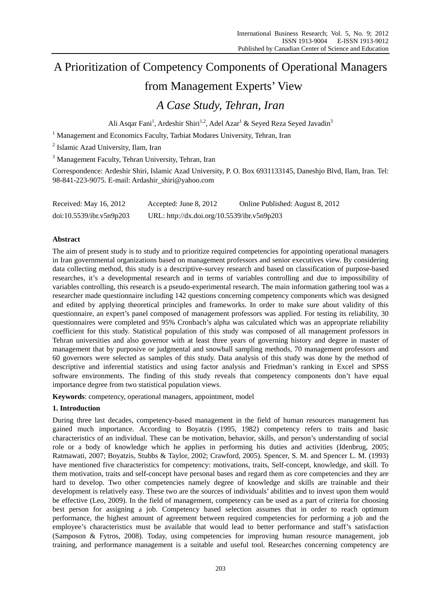# A Prioritization of Competency Components of Operational Managers from Management Experts' View

# *A Case Study, Tehran, Iran*

Ali Asqar Fani<sup>1</sup>, Ardeshir Shiri<sup>1,2</sup>, Adel Azar<sup>1</sup> & Seyed Reza Seyed Javadin<sup>3</sup>

<sup>1</sup> Management and Economics Faculty, Tarbiat Modares University, Tehran, Iran

2 Islamic Azad University, Ilam, Iran

<sup>3</sup> Management Faculty, Tehran University, Tehran, Iran

Correspondence: Ardeshir Shiri, Islamic Azad University, P. O. Box 6931133145, Daneshjo Blvd, Ilam, Iran. Tel: 98-841-223-9075. E-mail: Ardashir\_shiri@yahoo.com

| Received: May 16, 2012   | Accepted: June 8, 2012                      | Online Published: August 8, 2012 |
|--------------------------|---------------------------------------------|----------------------------------|
| doi:10.5539/ibr.v5n9p203 | URL: http://dx.doi.org/10.5539/ibr.v5n9p203 |                                  |

## **Abstract**

The aim of present study is to study and to prioritize required competencies for appointing operational managers in Iran governmental organizations based on management professors and senior executives view. By considering data collecting method, this study is a descriptive-survey research and based on classification of purpose-based researches, it's a developmental research and in terms of variables controlling and due to impossibility of variables controlling, this research is a pseudo-experimental research. The main information gathering tool was a researcher made questionnaire including 142 questions concerning competency components which was designed and edited by applying theoretical principles and frameworks. In order to make sure about validity of this questionnaire, an expert's panel composed of management professors was applied. For testing its reliability, 30 questionnaires were completed and 95% Cronbach's alpha was calculated which was an appropriate reliability coefficient for this study. Statistical population of this study was composed of all management professors in Tehran universities and also governor with at least three years of governing history and degree in master of management that by purposive or judgmental and snowball sampling methods, 70 management professors and 60 governors were selected as samples of this study. Data analysis of this study was done by the method of descriptive and inferential statistics and using factor analysis and Friedman's ranking in Excel and SPSS software environments. The finding of this study reveals that competency components don't have equal importance degree from two statistical population views.

**Keywords**: competency, operational managers, appointment, model

## **1. Introduction**

During three last decades, competency-based management in the field of human resources management has gained much importance. According to Boyatzis (1995, 1982) competency refers to traits and basic characteristics of an individual. These can be motivation, behavior, skills, and person's understanding of social role or a body of knowledge which he applies in performing his duties and activities (Idenbrug, 2005; Ratmawati, 2007; Boyatzis, Stubbs & Taylor, 2002; Crawford, 2005). Spencer, S. M. and Spencer L. M. (1993) have mentioned five characteristics for competency: motivations, traits, Self-concept, knowledge, and skill. To them motivation, traits and self-concept have personal bases and regard them as core competencies and they are hard to develop. Two other competencies namely degree of knowledge and skills are trainable and their development is relatively easy. These two are the sources of individuals' abilities and to invest upon them would be effective (Leo, 2009). In the field of management, competency can be used as a part of criteria for choosing best person for assigning a job. Competency based selection assumes that in order to reach optimum performance, the highest amount of agreement between required competencies for performing a job and the employee's characteristics must be available that would lead to better performance and staff's satisfaction (Samposon & Fytros, 2008). Today, using competencies for improving human resource management, job training, and performance management is a suitable and useful tool. Researches concerning competency are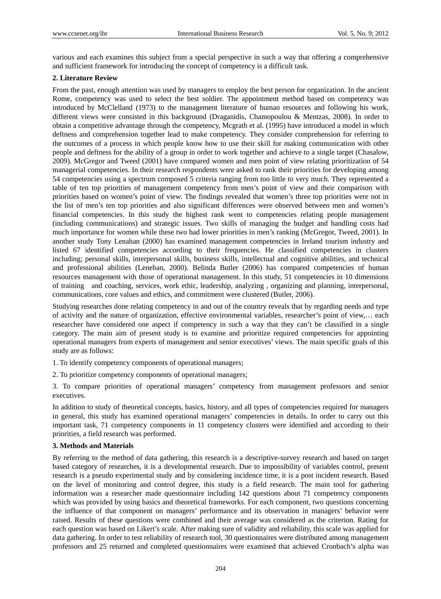various and each examines this subject from a special perspective in such a way that offering a comprehensive and sufficient framework for introducing the concept of competency is a difficult task.

#### **2. Literature Review**

From the past, enough attention was used by managers to employ the best person for organization. In the ancient Rome, competency was used to select the best soldier. The appointment method based on competency was introduced by McClelland (1973) to the management literature of human resources and following his work, different views were consisted in this background (Draganidis, Chamopoulou & Mentzas, 2008). In order to obtain a competitive advantage through the competency, Mcgrath et al. (1995) have introduced a model in which deftness and comprehension together lead to make competency. They consider comprehension for referring to the outcomes of a process in which people know how to use their skill for making communication with other people and deftness for the ability of a group in order to work together and achieve to a single target (Chasalow, 2009). McGregor and Tweed (2001) have compared women and men point of view relating prioritization of 54 managerial competencies. In their research respondents were asked to rank their priorities for developing among 54 competencies using a spectrum composed 5 criteria ranging from too little to very much. They represented a table of ten top priorities of management competency from men's point of view and their comparison with priorities based on women's point of view. The findings revealed that women's three top priorities were not in the list of men's ten top priorities and also significant differences were observed between men and women's financial competencies. In this study the highest rank went to competencies relating people management (including communications) and strategic issues. Two skills of managing the budget and handling costs had much importance for women while these two had lower priorities in men's ranking (McGregor, Tweed, 2001). In another study Tony Lenahan (2000) has examined management competencies in Ireland tourism industry and listed 67 identified competencies according to their frequencies. He classified competencies in clusters including; personal skills, interpersonal skills, business skills, intellectual and cognitive abilities, and technical and professional abilities (Lenehan, 2000). Belinda Butler (2006) has compared competencies of human resources management with those of operational management. In this study, 51 competencies in 10 dimensions of training and coaching, services, work ethic, leadership, analyzing , organizing and planning, interpersonal, communications, core values and ethics, and commitment were clustered (Butler, 2006).

Studying researches done relating competency in and out of the country reveals that by regarding needs and type of activity and the nature of organization, effective environmental variables, researcher's point of view,… each researcher have considered one aspect if competency in such a way that they can't be classified in a single category. The main aim of present study is to examine and prioritize required competencies for appointing operational managers from experts of management and senior executives' views. The main specific goals of this study are as follows:

1. To identify competency components of operational managers;

2. To prioritize competency components of operational managers;

3. To compare priorities of operational managers' competency from management professors and senior executives.

In addition to study of theoretical concepts, basics, history, and all types of competencies required for managers in general, this study has examined operational managers' competencies in details. In order to carry out this important task, 71 competency components in 11 competency clusters were identified and according to their priorities, a field research was performed.

#### **3. Methods and Materials**

By referring to the method of data gathering, this research is a descriptive-survey research and based on target based category of researches, it is a developmental research. Due to impossibility of variables control, present research is a pseudo experimental study and by considering incidence time, it is a post incident research. Based on the level of monitoring and control degree, this study is a field research. The main tool for gathering information was a researcher made questionnaire including 142 questions about 71 competency components which was provided by using basics and theoretical frameworks. For each component, two questions concerning the influence of that component on managers' performance and its observation in managers' behavior were raised. Results of these questions were combined and their average was considered as the criterion. Rating for each question was based on Likert's scale. After making sure of validity and reliability, this scale was applied for data gathering. In order to test reliability of research tool, 30 questionnaires were distributed among management professors and 25 returned and completed questionnaires were examined that achieved Cronbach's alpha was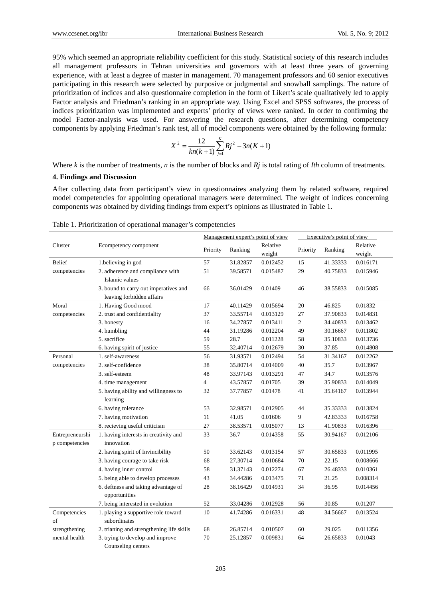95% which seemed an appropriate reliability coefficient for this study. Statistical society of this research includes all management professors in Tehran universities and governors with at least three years of governing experience, with at least a degree of master in management. 70 management professors and 60 senior executives participating in this research were selected by purposive or judgmental and snowball samplings. The nature of prioritization of indices and also questionnaire completion in the form of Likert's scale qualitatively led to apply Factor analysis and Friedman's ranking in an appropriate way. Using Excel and SPSS softwares, the process of indices prioritization was implemented and experts' priority of views were ranked. In order to confirming the model Factor-analysis was used. For answering the research questions, after determining competency components by applying Friedman's rank test, all of model components were obtained by the following formula:

$$
X^{2} = \frac{12}{kn(k+1)}\sum_{j=1}^{K}Rj^{2} - 3n(K+1)
$$

Where *k* is the number of treatments, *n* is the number of blocks and *Rj* is total rating of *Ith* column of treatments.

#### **4. Findings and Discussion**

After collecting data from participant's view in questionnaires analyzing them by related software, required model competencies for appointing operational managers were determined. The weight of indices concerning components was obtained by dividing findings from expert's opinions as illustrated in Table 1.

|                                   |                                                                    | Management expert's point of view |          | Executive's point of view |                |          |                    |
|-----------------------------------|--------------------------------------------------------------------|-----------------------------------|----------|---------------------------|----------------|----------|--------------------|
| Cluster                           | Ecompetency component                                              | Priority                          | Ranking  | Relative<br>weight        | Priority       | Ranking  | Relative<br>weight |
| <b>Belief</b>                     | 1.believing in god                                                 | 57                                | 31.82857 | 0.012452                  | 15             | 41.33333 | 0.016171           |
| competencies                      | 2. adherence and compliance with<br>Islamic values                 | 51                                | 39.58571 | 0.015487                  | 29             | 40.75833 | 0.015946           |
|                                   | 3. bound to carry out imperatives and<br>leaving forbidden affairs | 66                                | 36.01429 | 0.01409                   | 46             | 38.55833 | 0.015085           |
| Moral                             | 1. Having Good mood                                                | 17                                | 40.11429 | 0.015694                  | 20             | 46.825   | 0.01832            |
| competencies                      | 2. trust and confidentiality                                       | 37                                | 33.55714 | 0.013129                  | 27             | 37.90833 | 0.014831           |
|                                   | 3. honesty                                                         | 16                                | 34.27857 | 0.013411                  | $\overline{c}$ | 34.40833 | 0.013462           |
|                                   | 4. humbling                                                        | 44                                | 31.19286 | 0.012204                  | 49             | 30.16667 | 0.011802           |
|                                   | 5. sacrifice                                                       | 59                                | 28.7     | 0.011228                  | 58             | 35.10833 | 0.013736           |
|                                   | 6. having spirit of justice                                        | 55                                | 32.40714 | 0.012679                  | 30             | 37.85    | 0.014808           |
| Personal                          | 1. self-awareness                                                  | 56                                | 31.93571 | 0.012494                  | 54             | 31.34167 | 0.012262           |
| competencies                      | 2. self-confidence                                                 | 38                                | 35.80714 | 0.014009                  | 40             | 35.7     | 0.013967           |
|                                   | 3. self-esteem                                                     | 48                                | 33.97143 | 0.013291                  | 47             | 34.7     | 0.013576           |
|                                   | 4. time management                                                 | 4                                 | 43.57857 | 0.01705                   | 39             | 35.90833 | 0.014049           |
|                                   | 5. having ability and willingness to<br>learning                   | 32                                | 37.77857 | 0.01478                   | 41             | 35.64167 | 0.013944           |
|                                   | 6. having tolerance                                                | 53                                | 32.98571 | 0.012905                  | 44             | 35.33333 | 0.013824           |
|                                   | 7. having motivation                                               | 11                                | 41.05    | 0.01606                   | 9              | 42.83333 | 0.016758           |
|                                   | 8. recieving useful criticism                                      | 27                                | 38.53571 | 0.015077                  | 13             | 41.90833 | 0.016396           |
| Entrepreneurshi<br>p competencies | 1. having interests in creativity and<br>innovation                | 33                                | 36.7     | 0.014358                  | 55             | 30.94167 | 0.012106           |
|                                   | 2. having spirit of Invincibility                                  | 50                                | 33.62143 | 0.013154                  | 57             | 30.65833 | 0.011995           |
|                                   | 3. having courage to take risk                                     | 68                                | 27.30714 | 0.010684                  | 70             | 22.15    | 0.008666           |
|                                   | 4. having inner control                                            | 58                                | 31.37143 | 0.012274                  | 67             | 26.48333 | 0.010361           |
|                                   | 5. being able to develop processes                                 | 43                                | 34.44286 | 0.013475                  | 71             | 21.25    | 0.008314           |
|                                   | 6. deftness and taking advantage of                                | 28                                | 38.16429 | 0.014931                  | 34             | 36.95    | 0.014456           |
|                                   | opportunities                                                      |                                   |          |                           |                |          |                    |
|                                   | 7. being interested in evolution                                   | 52                                | 33.04286 | 0.012928                  | 56             | 30.85    | 0.01207            |
| Competencies<br>of                | 1. playing a supportive role toward<br>subordinates                | 10                                | 41.74286 | 0.016331                  | 48             | 34.56667 | 0.013524           |
| strengthening                     | 2. trianing and strengthening life skills                          | 68                                | 26.85714 | 0.010507                  | 60             | 29.025   | 0.011356           |
| mental health                     | 3. trying to develop and improve<br>Counseling centers             | 70                                | 25.12857 | 0.009831                  | 64             | 26.65833 | 0.01043            |

Table 1. Prioritization of operational manager's competencies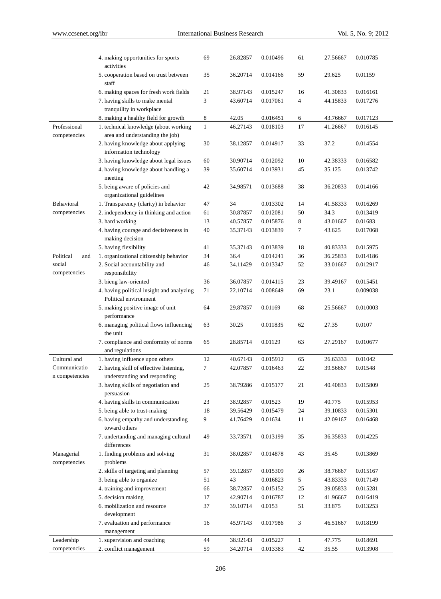|                            | 4. making opportunities for sports<br>activities         | 69           | 26.82857 | 0.010496 | 61           | 27.56667 | 0.010785 |
|----------------------------|----------------------------------------------------------|--------------|----------|----------|--------------|----------|----------|
|                            | 5. cooperation based on trust between                    | 35           | 36.20714 | 0.014166 | 59           | 29.625   | 0.01159  |
|                            | staff<br>6. making spaces for fresh work fields          | 21           | 38.97143 | 0.015247 | 16           | 41.30833 | 0.016161 |
|                            | 7. having skills to make mental                          | 3            | 43.60714 | 0.017061 | 4            | 44.15833 | 0.017276 |
|                            | tranquility in workplace                                 |              |          |          |              |          |          |
|                            | 8. making a healthy field for growth                     | 8            | 42.05    | 0.016451 | 6            | 43.76667 | 0.017123 |
| Professional               | 1. technical knowledge (about working                    | $\mathbf{1}$ | 46.27143 | 0.018103 | 17           | 41.26667 | 0.016145 |
| competencies               | area and understanding the job)                          |              |          |          |              |          |          |
|                            | 2. having knowledge about applying                       | 30           | 38.12857 | 0.014917 | 33           | 37.2     | 0.014554 |
|                            | information technology                                   |              |          |          |              |          |          |
|                            | 3. having knowledge about legal issues                   | 60           | 30.90714 | 0.012092 | 10           | 42.38333 | 0.016582 |
|                            | 4. having knowledge about handling a                     | 39           | 35.60714 | 0.013931 | 45           | 35.125   | 0.013742 |
|                            | meeting                                                  |              |          |          |              |          |          |
|                            | 5. being aware of policies and                           | 42           | 34.98571 | 0.013688 | 38           | 36.20833 | 0.014166 |
|                            | organizational guidelines                                |              |          |          |              |          |          |
| Behavioral                 | 1. Transparency (clarity) in behavior                    | 47           | 34       | 0.013302 | 14           | 41.58333 | 0.016269 |
| competencies               | 2. independency in thinking and action                   | 61           | 30.87857 | 0.012081 | 50           | 34.3     | 0.013419 |
|                            | 3. hard working                                          | 13           | 40.57857 | 0.015876 | 8            | 43.01667 | 0.01683  |
|                            | 4. having courage and decisiveness in<br>making decision | 40           | 35.37143 | 0.013839 | 7            | 43.625   | 0.017068 |
|                            | 5. having flexibility                                    | 41           | 35.37143 | 0.013839 | 18           | 40.83333 | 0.015975 |
| Political<br>and           | 1. organizational citizenship behavior                   | 34           | 36.4     | 0.014241 | 36           | 36.25833 | 0.014186 |
| social                     | 2. Social accountability and                             | 46           | 34.11429 | 0.013347 | 52           | 33.01667 | 0.012917 |
| competencies               | responsibility                                           |              |          |          |              |          |          |
|                            | 3. bieng law-oriented                                    | 36           | 36.07857 | 0.014115 | 23           | 39.49167 | 0.015451 |
|                            | 4. having political insight and analyzing                | 71           | 22.10714 | 0.008649 | 69           | 23.1     | 0.009038 |
|                            | Political environment                                    |              |          |          |              |          |          |
|                            | 5. making positive image of unit<br>performance          | 64           | 29.87857 | 0.01169  | 68           | 25.56667 | 0.010003 |
|                            | 6. managing political flows influencing<br>the unit      | 63           | 30.25    | 0.011835 | 62           | 27.35    | 0.0107   |
|                            | 7. compliance and conformity of norms<br>and regulations | 65           | 28.85714 | 0.01129  | 63           | 27.29167 | 0.010677 |
| Cultural and               | 1. having influence upon others                          | 12           | 40.67143 | 0.015912 | 65           | 26.63333 | 0.01042  |
| Communicatio               | 2. having skill of effective listening,                  | 7            | 42.07857 | 0.016463 | 22           | 39.56667 | 0.01548  |
| n competencies             | understanding and responding                             |              |          |          |              |          |          |
|                            | 3. having skills of negotiation and<br>persuasion        | 25           | 38.79286 | 0.015177 | 21           | 40.40833 | 0.015809 |
|                            | 4. having skills in communication                        | 23           | 38.92857 | 0.01523  | 19           | 40.775   | 0.015953 |
|                            | 5. being able to trust-making                            | 18           | 39.56429 | 0.015479 | 24           | 39.10833 | 0.015301 |
|                            | 6. having empathy and understanding                      | 9            | 41.76429 | 0.01634  | 11           | 42.09167 | 0.016468 |
|                            | toward others                                            |              |          |          |              |          |          |
|                            | 7. undertanding and managing cultural<br>differences     | 49           | 33.73571 | 0.013199 | 35           | 36.35833 | 0.014225 |
| Managerial<br>competencies | 1. finding problems and solving<br>problems              | 31           | 38.02857 | 0.014878 | 43           | 35.45    | 0.013869 |
|                            | 2. skills of targeting and planning                      | 57           | 39.12857 | 0.015309 | 26           | 38.76667 | 0.015167 |
|                            | 3. being able to organize                                | 51           | 43       | 0.016823 | 5            | 43.83333 | 0.017149 |
|                            | 4. training and improvement                              | 66           | 38.72857 | 0.015152 | 25           | 39.05833 | 0.015281 |
|                            | 5. decision making                                       | 17           | 42.90714 | 0.016787 | 12           | 41.96667 | 0.016419 |
|                            | 6. mobilization and resource                             | 37           | 39.10714 | 0.0153   | 51           | 33.875   | 0.013253 |
|                            | development                                              |              |          |          |              |          |          |
|                            | 7. evaluation and performance<br>management              | 16           | 45.97143 | 0.017986 | 3            | 46.51667 | 0.018199 |
| Leadership                 | 1. supervision and coaching                              | 44           | 38.92143 | 0.015227 | $\mathbf{1}$ | 47.775   | 0.018691 |
| competencies               | 2. conflict management                                   | 59           | 34.20714 | 0.013383 | 42           | 35.55    | 0.013908 |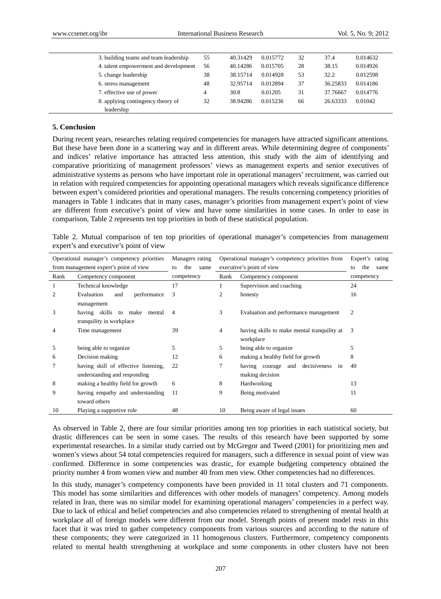| 3. building teams and team leadership | 55 | 40.31429 | 0.015772 | 32 | 37.4     | 0.014632 |  |
|---------------------------------------|----|----------|----------|----|----------|----------|--|
| 4. talent empowerment and development | 56 | 40.14286 | 0.015705 | 28 | 38.15    | 0.014926 |  |
| 5. change leadership                  | 38 | 38.15714 | 0.014928 | 53 | 32.2     | 0.012598 |  |
| 6. stress management                  | 48 | 32.95714 | 0.012894 | 37 | 36.25833 | 0.014186 |  |
| 7. effective use of power             | 4  | 30.8     | 0.01205  | 31 | 37.76667 | 0.014776 |  |
| 8. applying contingency theory of     | 32 | 38.94286 | 0.015236 | 66 | 26.63333 | 0.01042  |  |
| leadership                            |    |          |          |    |          |          |  |

#### **5. Conclusion**

During recent years, researches relating required competencies for managers have attracted significant attentions. But these have been done in a scattering way and in different areas. While determining degree of components' and indices' relative importance has attracted less attention, this study with the aim of identifying and comparative prioritizing of management professors' views as management experts and senior executives of administrative systems as persons who have important role in operational managers' recruitment, was carried out in relation with required competencies for appointing operational managers which reveals significance difference between expert's considered priorities and operational managers. The results concerning competency priorities of managers in Table 1 indicates that in many cases, manager's priorities from management expert's point of view are different from executive's point of view and have some similarities in some cases. In order to ease in comparison, Table 2 represents ten top priorities in both of these statistical population.

Table 2. Mutual comparison of ten top priorities of operational manager's competencies from management expert's and executive's point of view

|      | Operational manager's competency priorities                          | Managers rating   | Operational manager's competency priorities from |                                                          | Expert's rating   |
|------|----------------------------------------------------------------------|-------------------|--------------------------------------------------|----------------------------------------------------------|-------------------|
|      | from management expert's point of view                               | the<br>same<br>to | executive's point of view                        |                                                          | the<br>to<br>same |
| Rank | Competency component                                                 | competency        | Rank<br>Competency component                     |                                                          | competency        |
|      | Technical knowledge                                                  | 17                |                                                  | Supervision and coaching                                 | 24                |
| 2    | Evaluation<br>performance<br>and<br>management                       | 3                 | $\overline{2}$                                   | honesty                                                  | 16                |
| 3    | having skills to make mental<br>tranquility in workplace             | 4                 | 3                                                | Evaluation and performance management                    | 2                 |
| 4    | Time management                                                      | 39                | 4                                                | having skills to make mental tranquility at<br>workplace | 3                 |
| 5    | being able to organize                                               | 5                 | 5                                                | being able to organize                                   | 5                 |
| 6    | Decision making                                                      | 12                | 6                                                | making a healthy field for growth                        | 8                 |
|      | having skill of effective listening,<br>understanding and responding | 22                | 7                                                | decisiveness in<br>having courage and<br>making decision | 40                |
| 8    | making a healthy field for growth                                    | 6                 | 8                                                | Hardworking                                              | 13                |
| 9    | having empathy and understanding<br>toward others                    | 11                | 9                                                | Being motivated                                          | 11                |
| 10   | Playing a supportive role                                            | 48                | 10                                               | Being aware of legal issues                              | 60                |

As observed in Table 2, there are four similar priorities among ten top priorities in each statistical society, but drastic differences can be seen in some cases. The results of this research have been supported by some experimental researches. In a similar study carried out by McGregor and Tweed (2001) for prioritizing men and women's views about 54 total competencies required for managers, such a difference in sexual point of view was confirmed. Difference in some competencies was drastic, for example budgeting competency obtained the priority number 4 from women view and number 40 from men view. Other competencies had no differences.

In this study, manager's competency components have been provided in 11 total clusters and 71 components. This model has some similarities and differences with other models of managers' competency. Among models related in Iran, there was no similar model for examining operational managers' competencies in a perfect way. Due to lack of ethical and belief competencies and also competencies related to strengthening of mental health at workplace all of foreign models were different from our model. Strength points of present model rests in this facet that it was tried to gather competency components from various sources and according to the nature of these components; they were categorized in 11 homogenous clusters. Furthermore, competency components related to mental health strengthening at workplace and some components in other clusters have not been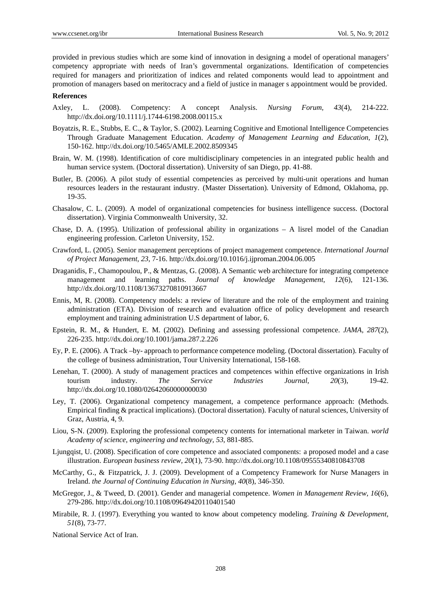provided in previous studies which are some kind of innovation in designing a model of operational managers' competency appropriate with needs of Iran's governmental organizations. Identification of competencies required for managers and prioritization of indices and related components would lead to appointment and promotion of managers based on meritocracy and a field of justice in manager s appointment would be provided.

#### **References**

- Axley, L. (2008). Competency: A concept Analysis. *Nursing Forum, 43*(4), 214-222. http://dx.doi.org/10.1111/j.1744-6198.2008.00115.x
- Boyatzis, R. E., Stubbs, E. C., & Taylor, S. (2002). Learning Cognitive and Emotional Intelligence Competencies Through Graduate Management Education. *Academy of Management Learning and Education, 1*(2), 150-162. http://dx.doi.org/10.5465/AMLE.2002.8509345
- Brain, W. M. (1998). Identification of core multidisciplinary competencies in an integrated public health and human service system. (Doctoral dissertation). University of san Diego, pp. 41-88.
- Butler, B. (2006). A pilot study of essential competencies as perceived by multi-unit operations and human resources leaders in the restaurant industry. (Master Dissertation). University of Edmond, Oklahoma, pp. 19-35.
- Chasalow, C. L. (2009). A model of organizational competencies for business intelligence success. (Doctoral dissertation). Virginia Commonwealth University, 32.
- Chase, D. A. (1995). Utilization of professional ability in organizations A lisrel model of the Canadian engineering profession. Carleton University, 152.
- Crawford, L. (2005). Senior management perceptions of project management competence. *International Journal of Project Management, 23*, 7-16. http://dx.doi.org/10.1016/j.ijproman.2004.06.005
- Draganidis, F., Chamopoulou, P., & Mentzas, G. (2008). A Semantic web architecture for integrating competence management and learning paths. *Journal of knowledge Management, 12*(6), 121-136. http://dx.doi.org/10.1108/13673270810913667
- Ennis, M, R. (2008). Competency models: a review of literature and the role of the employment and training administration (ETA). Division of research and evaluation office of policy development and research employment and training administration U.S department of labor, 6.
- Epstein, R. M., & Hundert, E. M. (2002). Defining and assessing professional competence. *JAMA, 287*(2), 226-235. http://dx.doi.org/10.1001/jama.287.2.226
- Ey, P. E. (2006). A Track –by- approach to performance competence modeling. (Doctoral dissertation). Faculty of the college of business administration, Tour University International, 158-168.
- Lenehan, T. (2000). A study of management practices and competences within effective organizations in Irish tourism industry. *The Service Industries Journal, 20*(3), 19-42. http://dx.doi.org/10.1080/02642060000000030
- Ley, T. (2006). Organizational competency management, a competence performance approach: (Methods. Empirical finding & practical implications). (Doctoral dissertation). Faculty of natural sciences, University of Graz, Austria, 4, 9.
- Liou, S-N. (2009). Exploring the professional competency contents for international marketer in Taiwan. *world Academy of science, engineering and technology, 53*, 881-885.
- Ljungqist, U. (2008). Specification of core competence and associated components: a proposed model and a case illustration. *European business review, 20*(1), 73-90. http://dx.doi.org/10.1108/09555340810843708
- McCarthy, G., & Fitzpatrick, J. J. (2009). Development of a Competency Framework for Nurse Managers in Ireland. *the Journal of Continuing Education in Nursing, 40*(8), 346-350.
- McGregor, J., & Tweed, D. (2001). Gender and managerial competence. *Women in Management Review, 16*(6), 279-286. http://dx.doi.org/10.1108/09649420110401540
- Mirabile, R. J. (1997). Everything you wanted to know about competency modeling. *Training & Development, 51*(8), 73-77.

National Service Act of Iran.